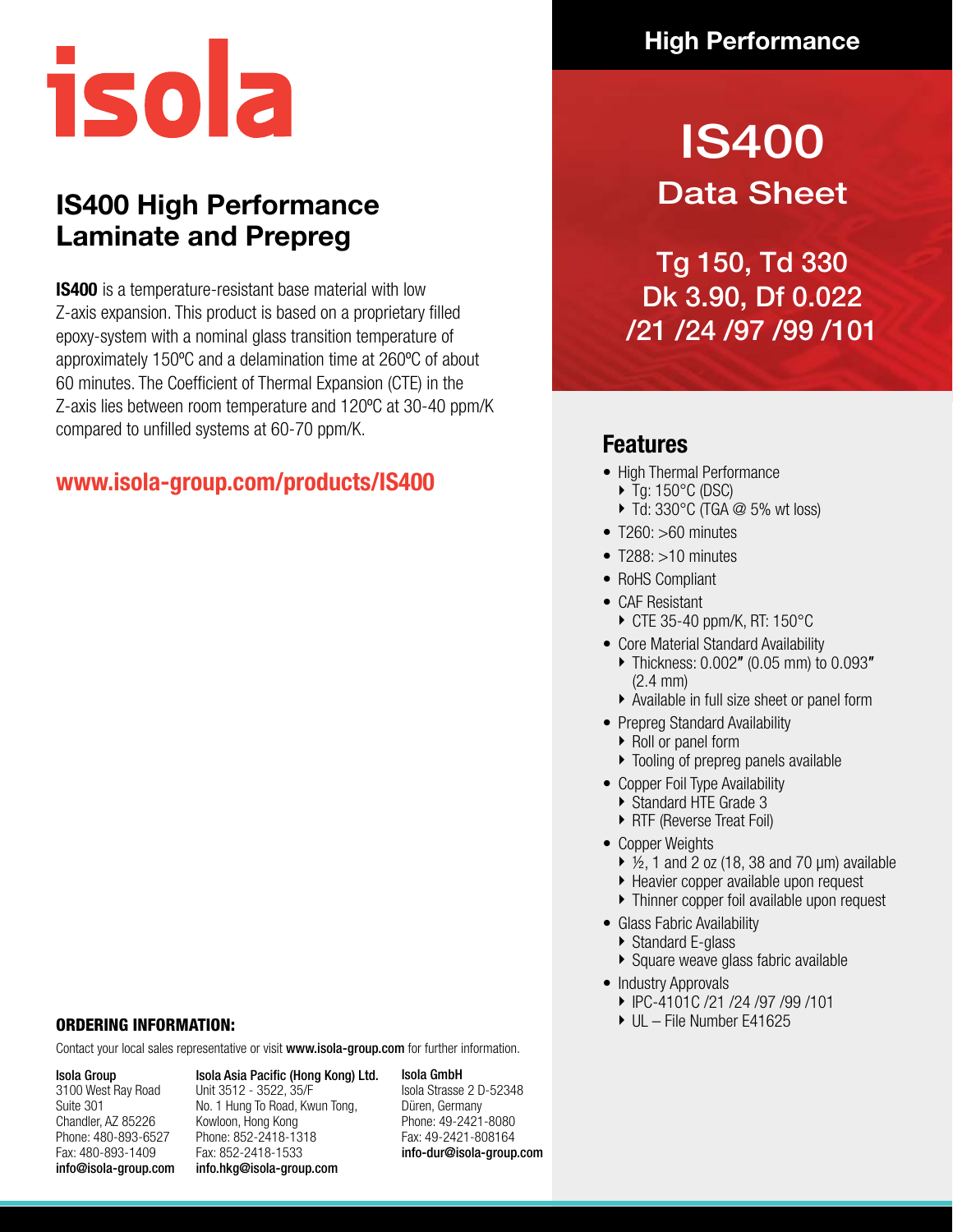

## **IS400 High Performance Laminate and Prepreg**

**IS400** is a temperature-resistant base material with low Z-axis expansion. This product is based on a proprietary filled epoxy-system with a nominal glass transition temperature of approximately 150ºC and a delamination time at 260ºC of about 60 minutes. The Coefficient of Thermal Expansion (CTE) in the Z-axis lies between room temperature and 120ºC at 30-40 ppm/K compared to unfilled systems at 60-70 ppm/K.

#### **www.isola-group.com/products/IS400**

#### ORDERING INFORMATION:

Contact your local sales representative or visit www.isola-group.com for further information.

#### Isola Group 3100 West Ray Road Suite 301 Chandler, AZ 85226 Phone: 480-893-6527 Fax: 480-893-1409 info@isola-group.com

Isola Asia Pacific (Hong Kong) Ltd. Unit 3512 - 3522, 35/F No. 1 Hung To Road, Kwun Tong, Kowloon, Hong Kong Phone: 852-2418-1318 Fax: 852-2418-1533 info.hkg@isola-group.com

Isola GmbH Isola Strasse 2 D-52348 Düren, Germany Phone: 49-2421-8080 Fax: 49-2421-808164 info-dur@isola-group.com

### **High Performance**

# IS400 Data Sheet

Tg 150, Td 330 Dk 3.90, Df 0.022 /21 /24 /97 /99 /101

#### **Features**

- High Thermal Performance
	- $\triangleright$  Tg: 150 $^{\circ}$ C (DSC)
	- $\triangleright$  Td: 330°C (TGA  $\oslash$  5% wt loss)
- T260: >60 minutes
- T288: >10 minutes
- RoHS Compliant
- CAF Resistant
	- CTE 35-40 ppm/K, RT: 150°C
- Core Material Standard Availability
	- Thickness: 0.002″ (0.05 mm) to 0.093″ (2.4 mm)
	- Available in full size sheet or panel form
- Prepreg Standard Availability
	- ▶ Roll or panel form
	- Tooling of prepreg panels available
- Copper Foil Type Availability
	- Standard HTE Grade 3
	- ▶ RTF (Reverse Treat Foil)
- Copper Weights
	- $\triangleright$  1/<sub>2</sub>, 1 and 2 oz (18, 38 and 70  $\mu$ m) available
	- Heavier copper available upon request
	- Thinner copper foil available upon request
- Glass Fabric Availability
- Standard E-glass
- ▶ Square weave glass fabric available
- Industry Approvals
- IPC-4101C /21 /24 /97 /99 /101
- ► UL File Number E41625